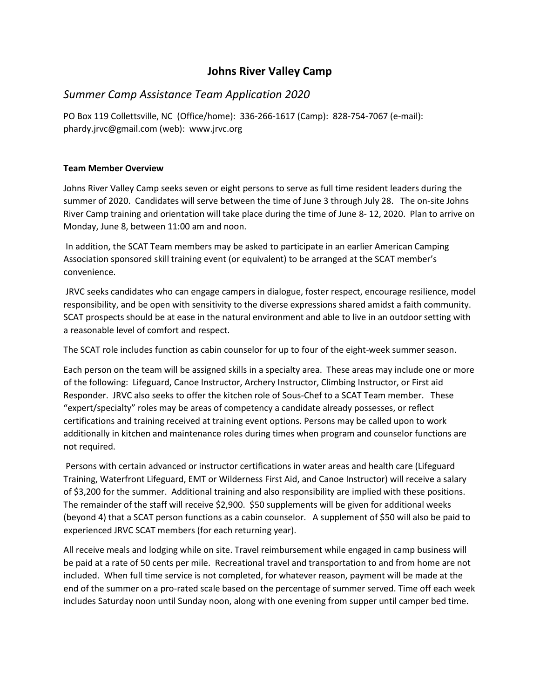## **Johns River Valley Camp**

# *Summer Camp Assistance Team Application 2020*

PO Box 119 Collettsville, NC (Office/home): 336-266-1617 (Camp): 828-754-7067 (e-mail): phardy.jrvc@gmail.com (web): www.jrvc.org

## **Team Member Overview**

Johns River Valley Camp seeks seven or eight persons to serve as full time resident leaders during the summer of 2020. Candidates will serve between the time of June 3 through July 28. The on-site Johns River Camp training and orientation will take place during the time of June 8- 12, 2020. Plan to arrive on Monday, June 8, between 11:00 am and noon.

In addition, the SCAT Team members may be asked to participate in an earlier American Camping Association sponsored skill training event (or equivalent) to be arranged at the SCAT member's convenience.

JRVC seeks candidates who can engage campers in dialogue, foster respect, encourage resilience, model responsibility, and be open with sensitivity to the diverse expressions shared amidst a faith community. SCAT prospects should be at ease in the natural environment and able to live in an outdoor setting with a reasonable level of comfort and respect.

The SCAT role includes function as cabin counselor for up to four of the eight-week summer season.

Each person on the team will be assigned skills in a specialty area. These areas may include one or more of the following: Lifeguard, Canoe Instructor, Archery Instructor, Climbing Instructor, or First aid Responder. JRVC also seeks to offer the kitchen role of Sous-Chef to a SCAT Team member. These "expert/specialty" roles may be areas of competency a candidate already possesses, or reflect certifications and training received at training event options. Persons may be called upon to work additionally in kitchen and maintenance roles during times when program and counselor functions are not required.

Persons with certain advanced or instructor certifications in water areas and health care (Lifeguard Training, Waterfront Lifeguard, EMT or Wilderness First Aid, and Canoe Instructor) will receive a salary of \$3,200 for the summer. Additional training and also responsibility are implied with these positions. The remainder of the staff will receive \$2,900. \$50 supplements will be given for additional weeks (beyond 4) that a SCAT person functions as a cabin counselor. A supplement of \$50 will also be paid to experienced JRVC SCAT members (for each returning year).

All receive meals and lodging while on site. Travel reimbursement while engaged in camp business will be paid at a rate of 50 cents per mile. Recreational travel and transportation to and from home are not included. When full time service is not completed, for whatever reason, payment will be made at the end of the summer on a pro-rated scale based on the percentage of summer served. Time off each week includes Saturday noon until Sunday noon, along with one evening from supper until camper bed time.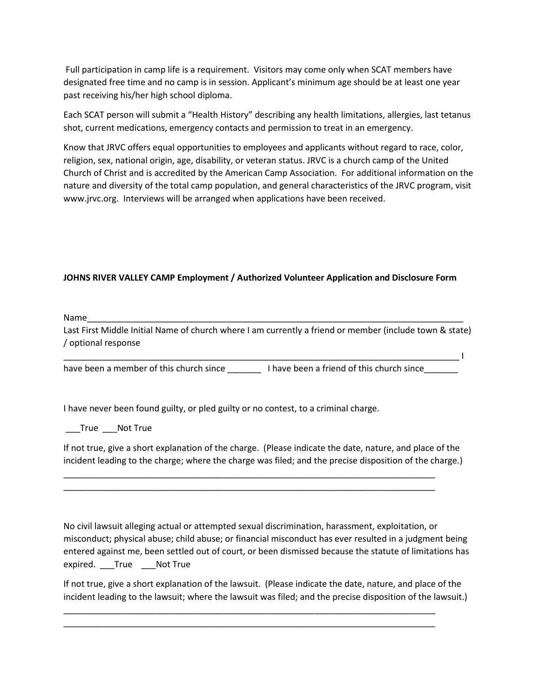Full participation in camp life is a requirement. Visitors may come only when SCAT members have designated free time and no camp is in session. Applicant's minimum age should be at least one year past receiving his/her high school diploma.

Each SCAT person will submit a "Health History" describing any health limitations, allergies, last tetanus shot, current medications, emergency contacts and permission to treat in an emergency.

Know that JRVC offers equal opportunities to employees and applicants without regard to race, color, religion, sex, national origin, age, disability, or veteran status. JRVC is a church camp of the United Church of Christ and is accredited by the American Camp Association. For additional information on the nature and diversity of the total camp population, and general characteristics of the JRVC program, visit www.jrvc.org. Interviews will be arranged when applications have been received.

### **JOHNS RIVER VALLEY CAMP Employment / Authorized Volunteer Application and Disclosure Form**

Name\_\_\_\_\_\_\_\_\_\_\_\_\_\_\_\_\_\_\_\_\_\_\_\_\_\_\_\_\_\_\_\_\_\_\_\_\_\_\_\_\_\_\_\_\_\_\_\_\_\_\_\_\_\_\_\_\_\_\_\_\_\_\_\_\_\_\_\_\_\_\_\_\_\_\_\_\_\_

Last First Middle Initial Name of church where I am currently a friend or member (include town & state) / optional response

 $\mathcal{L}_\text{max} = \mathcal{L}_\text{max} = \mathcal{L}_\text{max}$ 

have been a member of this church since **I** have been a friend of this church since

I have never been found guilty, or pled guilty or no contest, to a criminal charge.

True Not True

If not true, give a short explanation of the charge. (Please indicate the date, nature, and place of the incident leading to the charge; where the charge was filed; and the precise disposition of the charge.)

\_\_\_\_\_\_\_\_\_\_\_\_\_\_\_\_\_\_\_\_\_\_\_\_\_\_\_\_\_\_\_\_\_\_\_\_\_\_\_\_\_\_\_\_\_\_\_\_\_\_\_\_\_\_\_\_\_\_\_\_\_\_\_\_\_\_\_\_\_\_\_\_\_\_\_\_\_ \_\_\_\_\_\_\_\_\_\_\_\_\_\_\_\_\_\_\_\_\_\_\_\_\_\_\_\_\_\_\_\_\_\_\_\_\_\_\_\_\_\_\_\_\_\_\_\_\_\_\_\_\_\_\_\_\_\_\_\_\_\_\_\_\_\_\_\_\_\_\_\_\_\_\_\_\_

No civil lawsuit alleging actual or attempted sexual discrimination, harassment, exploitation, or misconduct; physical abuse; child abuse; or financial misconduct has ever resulted in a judgment being entered against me, been settled out of court, or been dismissed because the statute of limitations has expired. True Not True

If not true, give a short explanation of the lawsuit. (Please indicate the date, nature, and place of the incident leading to the lawsuit; where the lawsuit was filed; and the precise disposition of the lawsuit.)

\_\_\_\_\_\_\_\_\_\_\_\_\_\_\_\_\_\_\_\_\_\_\_\_\_\_\_\_\_\_\_\_\_\_\_\_\_\_\_\_\_\_\_\_\_\_\_\_\_\_\_\_\_\_\_\_\_\_\_\_\_\_\_\_\_\_\_\_\_\_\_\_\_\_\_\_\_ \_\_\_\_\_\_\_\_\_\_\_\_\_\_\_\_\_\_\_\_\_\_\_\_\_\_\_\_\_\_\_\_\_\_\_\_\_\_\_\_\_\_\_\_\_\_\_\_\_\_\_\_\_\_\_\_\_\_\_\_\_\_\_\_\_\_\_\_\_\_\_\_\_\_\_\_\_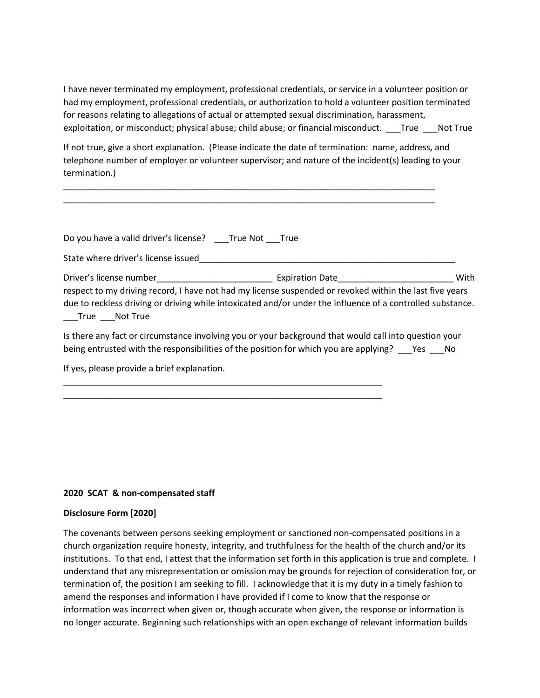I have never terminated my employment, professional credentials, or service in a volunteer position or had my employment, professional credentials, or authorization to hold a volunteer position terminated for reasons relating to allegations of actual or attempted sexual discrimination, harassment, exploitation, or misconduct; physical abuse; child abuse; or financial misconduct. \_\_\_True \_\_\_Not True

If not true, give a short explanation. (Please indicate the date of termination: name, address, and telephone number of employer or volunteer supervisor; and nature of the incident(s) leading to your termination.)

\_\_\_\_\_\_\_\_\_\_\_\_\_\_\_\_\_\_\_\_\_\_\_\_\_\_\_\_\_\_\_\_\_\_\_\_\_\_\_\_\_\_\_\_\_\_\_\_\_\_\_\_\_\_\_\_\_\_\_\_\_\_\_\_\_\_\_\_\_\_\_\_\_\_\_\_\_ \_\_\_\_\_\_\_\_\_\_\_\_\_\_\_\_\_\_\_\_\_\_\_\_\_\_\_\_\_\_\_\_\_\_\_\_\_\_\_\_\_\_\_\_\_\_\_\_\_\_\_\_\_\_\_\_\_\_\_\_\_\_\_\_\_\_\_\_\_\_\_\_\_\_\_\_\_

| Do you have a valid driver's license? True Not True |                                                                                                                                                                                                                       |      |
|-----------------------------------------------------|-----------------------------------------------------------------------------------------------------------------------------------------------------------------------------------------------------------------------|------|
| State where driver's license issued                 |                                                                                                                                                                                                                       |      |
|                                                     | Expiration Date <b>Expiration</b>                                                                                                                                                                                     | With |
| True Not True                                       | respect to my driving record, I have not had my license suspended or revoked within the last five years<br>due to reckless driving or driving while intoxicated and/or under the influence of a controlled substance. |      |
|                                                     | Is there any fact or circumstance involving you or your background that would call into question your                                                                                                                 |      |

being entrusted with the responsibilities of the position for which you are applying? \_\_\_Yes \_\_\_No

\_\_\_\_\_\_\_\_\_\_\_\_\_\_\_\_\_\_\_\_\_\_\_\_\_\_\_\_\_\_\_\_\_\_\_\_\_\_\_\_\_\_\_\_\_\_\_\_\_\_\_\_\_\_\_\_\_\_\_\_\_\_\_\_\_\_ \_\_\_\_\_\_\_\_\_\_\_\_\_\_\_\_\_\_\_\_\_\_\_\_\_\_\_\_\_\_\_\_\_\_\_\_\_\_\_\_\_\_\_\_\_\_\_\_\_\_\_\_\_\_\_\_\_\_\_\_\_\_\_\_\_\_

If yes, please provide a brief explanation.

#### **2020 SCAT & non-compensated staff**

#### **Disclosure Form [2020]**

The covenants between persons seeking employment or sanctioned non-compensated positions in a church organization require honesty, integrity, and truthfulness for the health of the church and/or its institutions. To that end, I attest that the information set forth in this application is true and complete. I understand that any misrepresentation or omission may be grounds for rejection of consideration for, or termination of, the position I am seeking to fill. I acknowledge that it is my duty in a timely fashion to amend the responses and information I have provided if I come to know that the response or information was incorrect when given or, though accurate when given, the response or information is no longer accurate. Beginning such relationships with an open exchange of relevant information builds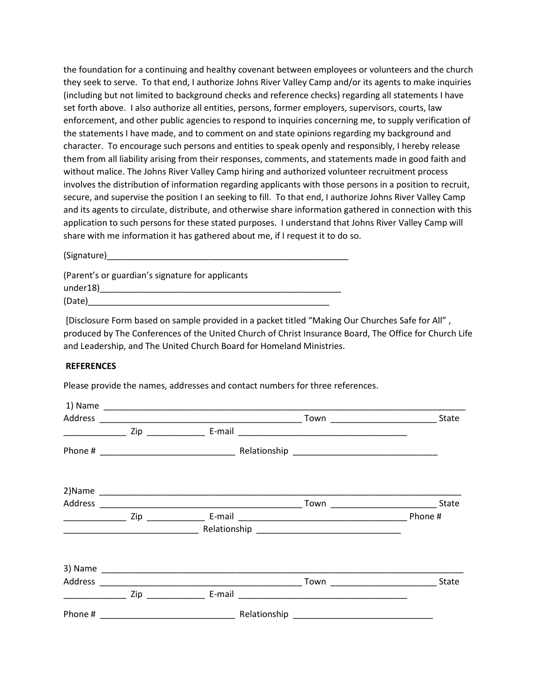the foundation for a continuing and healthy covenant between employees or volunteers and the church they seek to serve. To that end, I authorize Johns River Valley Camp and/or its agents to make inquiries (including but not limited to background checks and reference checks) regarding all statements I have set forth above. I also authorize all entities, persons, former employers, supervisors, courts, law enforcement, and other public agencies to respond to inquiries concerning me, to supply verification of the statements I have made, and to comment on and state opinions regarding my background and character. To encourage such persons and entities to speak openly and responsibly, I hereby release them from all liability arising from their responses, comments, and statements made in good faith and without malice. The Johns River Valley Camp hiring and authorized volunteer recruitment process involves the distribution of information regarding applicants with those persons in a position to recruit, secure, and supervise the position I an seeking to fill. To that end, I authorize Johns River Valley Camp and its agents to circulate, distribute, and otherwise share information gathered in connection with this application to such persons for these stated purposes. I understand that Johns River Valley Camp will share with me information it has gathered about me, if I request it to do so.

(Signature)\_\_\_\_\_\_\_\_\_\_\_\_\_\_\_\_\_\_\_\_\_\_\_\_\_\_\_\_\_\_\_\_\_\_\_\_\_\_\_\_\_\_\_\_\_\_\_\_\_\_

(Parent's or guardian's signature for applicants under18)\_\_\_\_\_\_\_\_\_\_\_\_\_\_\_\_\_\_\_\_\_\_\_\_\_\_\_\_\_\_\_\_\_\_\_\_\_\_\_\_\_\_\_\_\_\_\_\_\_\_  $(Date)$ 

[Disclosure Form based on sample provided in a packet titled "Making Our Churches Safe for All" , produced by The Conferences of the United Church of Christ Insurance Board, The Office for Church Life and Leadership, and The United Church Board for Homeland Ministries.

#### **REFERENCES**

Please provide the names, addresses and contact numbers for three references.

| Address                                                                                                                                                                                                                                                                                                                                                                                                                                               |  | State                                     |
|-------------------------------------------------------------------------------------------------------------------------------------------------------------------------------------------------------------------------------------------------------------------------------------------------------------------------------------------------------------------------------------------------------------------------------------------------------|--|-------------------------------------------|
| $\begin{tabular}{ccccc} \multicolumn{2}{c }{\textbf{1} & \multicolumn{2}{c }{\textbf{2} & \multicolumn{2}{c }{\textbf{3} & \multicolumn{2}{c }{\textbf{4} & \multicolumn{2}{c }{\textbf{5} & \multicolumn{2}{c }{\textbf{6} & \multicolumn{2}{c }{\textbf{6} & \multicolumn{2}{c }{\textbf{6} & \multicolumn{2}{c }{\textbf{6} & \multicolumn{2}{c }{\textbf{6} & \multicolumn{2}{c }{\textbf{6} & \multicolumn{2}{c }{\textbf{6} & \multicolumn{2}{$ |  |                                           |
|                                                                                                                                                                                                                                                                                                                                                                                                                                                       |  |                                           |
|                                                                                                                                                                                                                                                                                                                                                                                                                                                       |  |                                           |
|                                                                                                                                                                                                                                                                                                                                                                                                                                                       |  |                                           |
| $\begin{tabular}{ccccc} \multicolumn{2}{c }{\textbf{1} & \textbf{2} & \textbf{3} & \textbf{4} & \textbf{5} & \textbf{5} & \textbf{6} & \textbf{7} & \textbf{8} & \textbf{9} & \textbf{10} & \textbf{10} & \textbf{10} & \textbf{10} & \textbf{10} & \textbf{10} & \textbf{10} & \textbf{10} & \textbf{10} & \textbf{10} & \textbf{10} & \textbf{10} & \textbf{10} & \textbf{10} & \textbf{10} & \textbf{10} & \textbf$                                |  | Phone #                                   |
|                                                                                                                                                                                                                                                                                                                                                                                                                                                       |  |                                           |
|                                                                                                                                                                                                                                                                                                                                                                                                                                                       |  |                                           |
|                                                                                                                                                                                                                                                                                                                                                                                                                                                       |  | State<br>_Town __________________________ |
|                                                                                                                                                                                                                                                                                                                                                                                                                                                       |  |                                           |
|                                                                                                                                                                                                                                                                                                                                                                                                                                                       |  |                                           |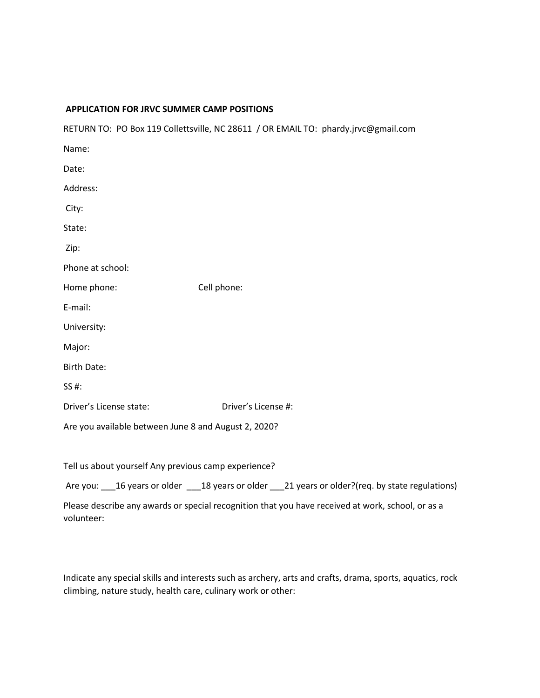#### **APPLICATION FOR JRVC SUMMER CAMP POSITIONS**

RETURN TO: PO Box 119 Collettsville, NC 28611 / OR EMAIL TO: phardy.jrvc@gmail.com

| Name:                                                |                     |  |  |  |
|------------------------------------------------------|---------------------|--|--|--|
| Date:                                                |                     |  |  |  |
| Address:                                             |                     |  |  |  |
| City:                                                |                     |  |  |  |
| State:                                               |                     |  |  |  |
| Zip:                                                 |                     |  |  |  |
| Phone at school:                                     |                     |  |  |  |
| Home phone:                                          | Cell phone:         |  |  |  |
| E-mail:                                              |                     |  |  |  |
| University:                                          |                     |  |  |  |
| Major:                                               |                     |  |  |  |
| <b>Birth Date:</b>                                   |                     |  |  |  |
| SS #:                                                |                     |  |  |  |
| Driver's License state:                              | Driver's License #: |  |  |  |
| Are you available between June 8 and August 2, 2020? |                     |  |  |  |

Tell us about yourself Any previous camp experience?

Are you: 16 years or older 18 years or older 121 years or older?(req. by state regulations)

Please describe any awards or special recognition that you have received at work, school, or as a volunteer:

Indicate any special skills and interests such as archery, arts and crafts, drama, sports, aquatics, rock climbing, nature study, health care, culinary work or other: